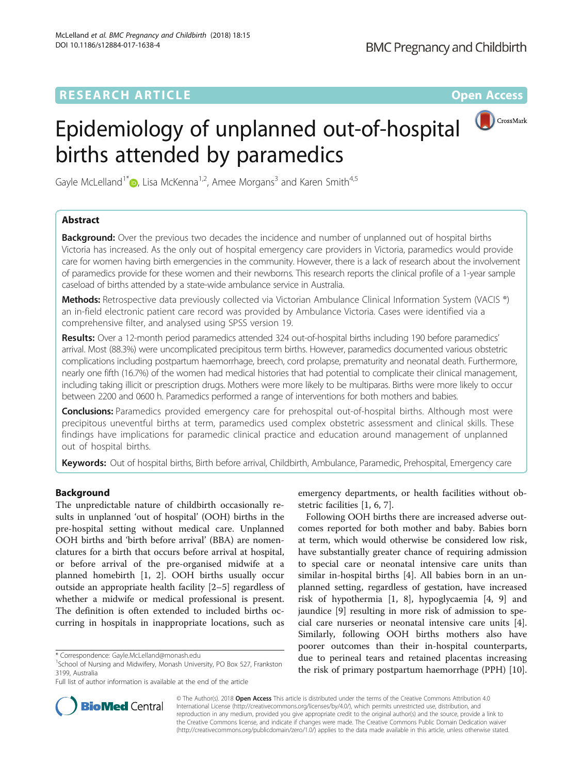## **RESEARCH ARTICLE Example 2014 12:30 The Contract of Contract ACCESS**

# CrossMark Epidemiology of unplanned out-of-hospital births attended by paramedics

Gayle McLelland<sup>1\*</sup>  $\bullet$ , Lisa McKenna<sup>1,2</sup>, Amee Morgans<sup>3</sup> and Karen Smith<sup>4,5</sup>

## Abstract

**Background:** Over the previous two decades the incidence and number of unplanned out of hospital births Victoria has increased. As the only out of hospital emergency care providers in Victoria, paramedics would provide care for women having birth emergencies in the community. However, there is a lack of research about the involvement of paramedics provide for these women and their newborns. This research reports the clinical profile of a 1-year sample caseload of births attended by a state-wide ambulance service in Australia.

Methods: Retrospective data previously collected via Victorian Ambulance Clinical Information System (VACIS ®) an in-field electronic patient care record was provided by Ambulance Victoria. Cases were identified via a comprehensive filter, and analysed using SPSS version 19.

Results: Over a 12-month period paramedics attended 324 out-of-hospital births including 190 before paramedics' arrival. Most (88.3%) were uncomplicated precipitous term births. However, paramedics documented various obstetric complications including postpartum haemorrhage, breech, cord prolapse, prematurity and neonatal death. Furthermore, nearly one fifth (16.7%) of the women had medical histories that had potential to complicate their clinical management, including taking illicit or prescription drugs. Mothers were more likely to be multiparas. Births were more likely to occur between 2200 and 0600 h. Paramedics performed a range of interventions for both mothers and babies.

Conclusions: Paramedics provided emergency care for prehospital out-of-hospital births. Although most were precipitous uneventful births at term, paramedics used complex obstetric assessment and clinical skills. These findings have implications for paramedic clinical practice and education around management of unplanned out of hospital births.

Keywords: Out of hospital births, Birth before arrival, Childbirth, Ambulance, Paramedic, Prehospital, Emergency care

## **Background**

The unpredictable nature of childbirth occasionally results in unplanned 'out of hospital' (OOH) births in the pre-hospital setting without medical care. Unplanned OOH births and 'birth before arrival' (BBA) are nomenclatures for a birth that occurs before arrival at hospital, or before arrival of the pre-organised midwife at a planned homebirth [1, 2]. OOH births usually occur outside an appropriate health facility [2–5] regardless of whether a midwife or medical professional is present. The definition is often extended to included births occurring in hospitals in inappropriate locations, such as

emergency departments, or health facilities without obstetric facilities [1, 6, 7].

Following OOH births there are increased adverse outcomes reported for both mother and baby. Babies born at term, which would otherwise be considered low risk, have substantially greater chance of requiring admission to special care or neonatal intensive care units than similar in-hospital births [4]. All babies born in an unplanned setting, regardless of gestation, have increased risk of hypothermia [1, 8], hypoglycaemia [4, 9] and jaundice [9] resulting in more risk of admission to special care nurseries or neonatal intensive care units [4]. Similarly, following OOH births mothers also have poorer outcomes than their in-hospital counterparts, due to perineal tears and retained placentas increasing the risk of primary postpartum haemorrhage (PPH) [10].



© The Author(s). 2018 Open Access This article is distributed under the terms of the Creative Commons Attribution 4.0 International License (http://creativecommons.org/licenses/by/4.0/), which permits unrestricted use, distribution, and reproduction in any medium, provided you give appropriate credit to the original author(s) and the source, provide a link to the Creative Commons license, and indicate if changes were made. The Creative Commons Public Domain Dedication waiver (http://creativecommons.org/publicdomain/zero/1.0/) applies to the data made available in this article, unless otherwise stated.

<sup>\*</sup> Correspondence: Gayle.McLelland@monash.edu <sup>1</sup>

 $1$ School of Nursing and Midwifery, Monash University, PO Box 527, Frankston 3199, Australia

Full list of author information is available at the end of the article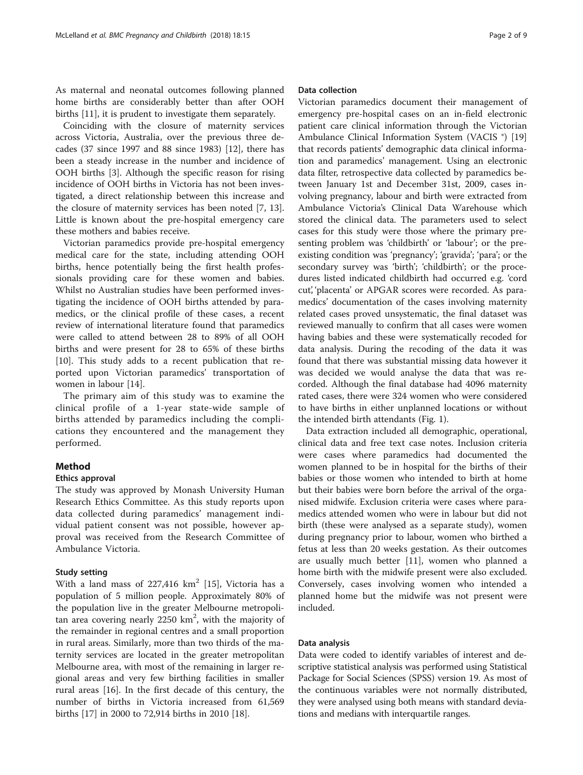As maternal and neonatal outcomes following planned home births are considerably better than after OOH births [11], it is prudent to investigate them separately.

Coinciding with the closure of maternity services across Victoria, Australia, over the previous three decades (37 since 1997 and 88 since 1983) [12], there has been a steady increase in the number and incidence of OOH births [3]. Although the specific reason for rising incidence of OOH births in Victoria has not been investigated, a direct relationship between this increase and the closure of maternity services has been noted [7, 13]. Little is known about the pre-hospital emergency care these mothers and babies receive.

Victorian paramedics provide pre-hospital emergency medical care for the state, including attending OOH births, hence potentially being the first health professionals providing care for these women and babies. Whilst no Australian studies have been performed investigating the incidence of OOH births attended by paramedics, or the clinical profile of these cases, a recent review of international literature found that paramedics were called to attend between 28 to 89% of all OOH births and were present for 28 to 65% of these births [10]. This study adds to a recent publication that reported upon Victorian paramedics' transportation of women in labour [14].

The primary aim of this study was to examine the clinical profile of a 1-year state-wide sample of births attended by paramedics including the complications they encountered and the management they performed.

## Method

#### Ethics approval

The study was approved by Monash University Human Research Ethics Committee. As this study reports upon data collected during paramedics' management individual patient consent was not possible, however approval was received from the Research Committee of Ambulance Victoria.

## Study setting

With a land mass of  $227,416$  km<sup>2</sup> [15], Victoria has a population of 5 million people. Approximately 80% of the population live in the greater Melbourne metropolitan area covering nearly 2250  $km^2$ , with the majority of the remainder in regional centres and a small proportion in rural areas. Similarly, more than two thirds of the maternity services are located in the greater metropolitan Melbourne area, with most of the remaining in larger regional areas and very few birthing facilities in smaller rural areas [16]. In the first decade of this century, the number of births in Victoria increased from 61,569 births [17] in 2000 to 72,914 births in 2010 [18].

## Data collection

Victorian paramedics document their management of emergency pre-hospital cases on an in-field electronic patient care clinical information through the Victorian Ambulance Clinical Information System (VACIS ®) [19] that records patients' demographic data clinical information and paramedics' management. Using an electronic data filter, retrospective data collected by paramedics between January 1st and December 31st, 2009, cases involving pregnancy, labour and birth were extracted from Ambulance Victoria's Clinical Data Warehouse which stored the clinical data. The parameters used to select cases for this study were those where the primary presenting problem was 'childbirth' or 'labour'; or the preexisting condition was 'pregnancy'; 'gravida'; 'para'; or the secondary survey was 'birth'; 'childbirth'; or the procedures listed indicated childbirth had occurred e.g. 'cord cut, 'placenta' or APGAR scores were recorded. As paramedics' documentation of the cases involving maternity related cases proved unsystematic, the final dataset was reviewed manually to confirm that all cases were women having babies and these were systematically recoded for data analysis. During the recoding of the data it was found that there was substantial missing data however it was decided we would analyse the data that was recorded. Although the final database had 4096 maternity rated cases, there were 324 women who were considered to have births in either unplanned locations or without the intended birth attendants (Fig. 1).

Data extraction included all demographic, operational, clinical data and free text case notes. Inclusion criteria were cases where paramedics had documented the women planned to be in hospital for the births of their babies or those women who intended to birth at home but their babies were born before the arrival of the organised midwife. Exclusion criteria were cases where paramedics attended women who were in labour but did not birth (these were analysed as a separate study), women during pregnancy prior to labour, women who birthed a fetus at less than 20 weeks gestation. As their outcomes are usually much better [11], women who planned a home birth with the midwife present were also excluded. Conversely, cases involving women who intended a planned home but the midwife was not present were included.

## Data analysis

Data were coded to identify variables of interest and descriptive statistical analysis was performed using Statistical Package for Social Sciences (SPSS) version 19. As most of the continuous variables were not normally distributed, they were analysed using both means with standard deviations and medians with interquartile ranges.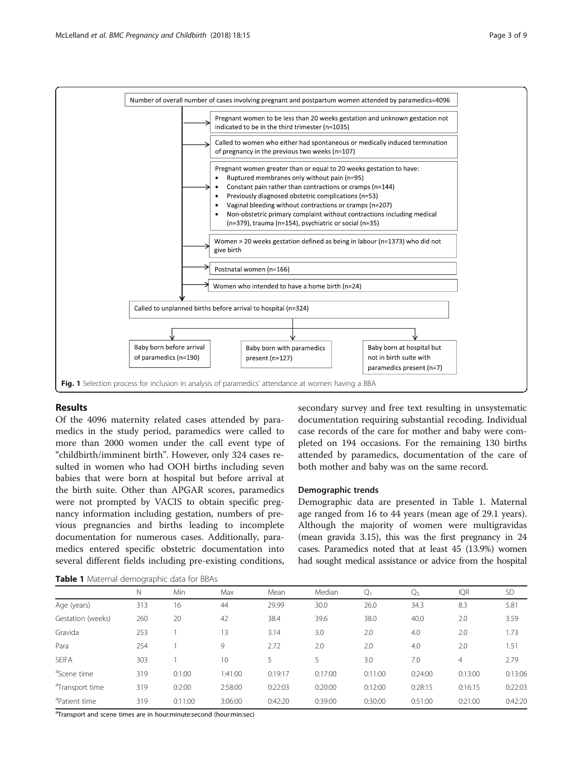

## Results

Of the 4096 maternity related cases attended by paramedics in the study period, paramedics were called to more than 2000 women under the call event type of "childbirth/imminent birth". However, only 324 cases resulted in women who had OOH births including seven babies that were born at hospital but before arrival at the birth suite. Other than APGAR scores, paramedics were not prompted by VACIS to obtain specific pregnancy information including gestation, numbers of previous pregnancies and births leading to incomplete documentation for numerous cases. Additionally, paramedics entered specific obstetric documentation into several different fields including pre-existing conditions,

secondary survey and free text resulting in unsystematic documentation requiring substantial recoding. Individual case records of the care for mother and baby were completed on 194 occasions. For the remaining 130 births attended by paramedics, documentation of the care of both mother and baby was on the same record.

## Demographic trends

Demographic data are presented in Table 1. Maternal age ranged from 16 to 44 years (mean age of 29.1 years). Although the majority of women were multigravidas (mean gravida 3.15), this was the first pregnancy in 24 cases. Paramedics noted that at least 45 (13.9%) women had sought medical assistance or advice from the hospital

|                             | N   | Min     | Max     | Mean    | Median  | $Q_1$   | $Q_3$   | <b>IQR</b>     | <b>SD</b> |
|-----------------------------|-----|---------|---------|---------|---------|---------|---------|----------------|-----------|
| Age (years)                 | 313 | 16      | 44      | 29.99   | 30.0    | 26.0    | 34.3    | 8.3            | 5.81      |
| Gestation (weeks)           | 260 | 20      | 42      | 38.4    | 39.6    | 38.0    | 40.0    | 2.0            | 3.59      |
| Gravida                     | 253 |         | 13      | 3.14    | 3.0     | 2.0     | 4.0     | 2.0            | 1.73      |
| Para                        | 254 |         | 9       | 2.72    | 2.0     | 2.0     | 4.0     | 2.0            | 1.51      |
| <b>SEIFA</b>                | 303 |         | 10      | 5.      | 5       | 3.0     | 7.0     | $\overline{4}$ | 2.79      |
| <sup>a</sup> Scene time     | 319 | 0:1:00  | 1:41:00 | 0:19:17 | 0:17:00 | 0:11:00 | 0:24:00 | 0:13:00        | 0:13:06   |
| <sup>a</sup> Transport time | 319 | 0:2:00  | 2:58:00 | 0:22:03 | 0:20:00 | 0:12:00 | 0:28:15 | 0:16:15        | 0:22:03   |
| <sup>a</sup> Patient time   | 319 | 0:11:00 | 3:06:00 | 0:42:20 | 0:39:00 | 0:30:00 | 0:51:00 | 0:21:00        | 0:42:20   |

Table 1 Maternal demographic data for BBAs

<sup>a</sup>Transport and scene times are in hour:minute:second (hour:min:sec)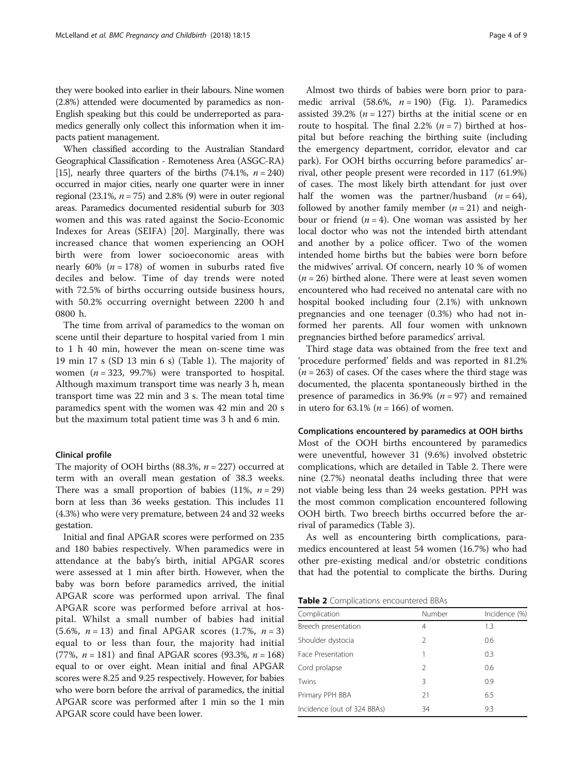they were booked into earlier in their labours. Nine women (2.8%) attended were documented by paramedics as non-English speaking but this could be underreported as paramedics generally only collect this information when it impacts patient management.

When classified according to the Australian Standard Geographical Classification - Remoteness Area (ASGC-RA) [15], nearly three quarters of the births  $(74.1\%, n = 240)$ occurred in major cities, nearly one quarter were in inner regional (23.1%,  $n = 75$ ) and 2.8% (9) were in outer regional areas. Paramedics documented residential suburb for 303 women and this was rated against the Socio-Economic Indexes for Areas (SEIFA) [20]. Marginally, there was increased chance that women experiencing an OOH birth were from lower socioeconomic areas with nearly 60% ( $n = 178$ ) of women in suburbs rated five deciles and below. Time of day trends were noted with 72.5% of births occurring outside business hours, with 50.2% occurring overnight between 2200 h and 0800 h.

The time from arrival of paramedics to the woman on scene until their departure to hospital varied from 1 min to 1 h 40 min, however the mean on-scene time was 19 min 17 s (SD 13 min 6 s) (Table 1). The majority of women ( $n = 323$ , 99.7%) were transported to hospital. Although maximum transport time was nearly 3 h, mean transport time was 22 min and 3 s. The mean total time paramedics spent with the women was 42 min and 20 s but the maximum total patient time was 3 h and 6 min.

## Clinical profile

The majority of OOH births (88.3%,  $n = 227$ ) occurred at term with an overall mean gestation of 38.3 weeks. There was a small proportion of babies  $(11\%, n=29)$ born at less than 36 weeks gestation. This includes 11 (4.3%) who were very premature, between 24 and 32 weeks gestation.

Initial and final APGAR scores were performed on 235 and 180 babies respectively. When paramedics were in attendance at the baby's birth, initial APGAR scores were assessed at 1 min after birth. However, when the baby was born before paramedics arrived, the initial APGAR score was performed upon arrival. The final APGAR score was performed before arrival at hospital. Whilst a small number of babies had initial (5.6%,  $n = 13$ ) and final APGAR scores (1.7%,  $n = 3$ ) equal to or less than four, the majority had initial (77%,  $n = 181$ ) and final APGAR scores (93.3%,  $n = 168$ ) equal to or over eight. Mean initial and final APGAR scores were 8.25 and 9.25 respectively. However, for babies who were born before the arrival of paramedics, the initial APGAR score was performed after 1 min so the 1 min APGAR score could have been lower.

Almost two thirds of babies were born prior to paramedic arrival  $(58.6\%, n = 190)$  (Fig. 1). Paramedics assisted 39.2% ( $n = 127$ ) births at the initial scene or en route to hospital. The final 2.2%  $(n=7)$  birthed at hospital but before reaching the birthing suite (including the emergency department, corridor, elevator and car park). For OOH births occurring before paramedics' arrival, other people present were recorded in 117 (61.9%) of cases. The most likely birth attendant for just over half the women was the partner/husband  $(n = 64)$ , followed by another family member  $(n = 21)$  and neighbour or friend  $(n = 4)$ . One woman was assisted by her local doctor who was not the intended birth attendant and another by a police officer. Two of the women intended home births but the babies were born before the midwives' arrival. Of concern, nearly 10 % of women  $(n = 26)$  birthed alone. There were at least seven women encountered who had received no antenatal care with no hospital booked including four (2.1%) with unknown pregnancies and one teenager (0.3%) who had not informed her parents. All four women with unknown pregnancies birthed before paramedics' arrival.

Third stage data was obtained from the free text and 'procedure performed' fields and was reported in 81.2%  $(n = 263)$  of cases. Of the cases where the third stage was documented, the placenta spontaneously birthed in the presence of paramedics in 36.9% ( $n = 97$ ) and remained in utero for 63.1% ( $n = 166$ ) of women.

## Complications encountered by paramedics at OOH births

Most of the OOH births encountered by paramedics were uneventful, however 31 (9.6%) involved obstetric complications, which are detailed in Table 2. There were nine (2.7%) neonatal deaths including three that were not viable being less than 24 weeks gestation. PPH was the most common complication encountered following OOH birth. Two breech births occurred before the arrival of paramedics (Table 3).

As well as encountering birth complications, paramedics encountered at least 54 women (16.7%) who had other pre-existing medical and/or obstetric conditions that had the potential to complicate the births. During

| Table 2 Complications encountered BBAs |  |  |
|----------------------------------------|--|--|
|----------------------------------------|--|--|

| Complication                | Number        | Incidence (%) |
|-----------------------------|---------------|---------------|
| Breech presentation         | 4             | 1.3           |
| Shoulder dystocia           | $\mathcal{P}$ | 0.6           |
| Face Presentation           |               | 0.3           |
| Cord prolapse               | $\mathcal{L}$ | 0.6           |
| Twins                       | 3             | 0.9           |
| Primary PPH BBA             | 21            | 6.5           |
| Incidence (out of 324 BBAs) | 34            | 9.3           |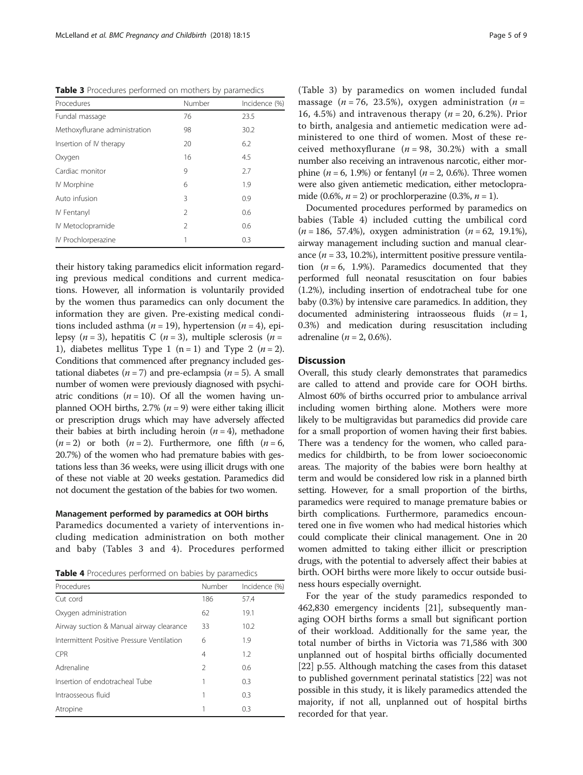Table 3 Procedures performed on mothers by paramedics

| Procedures                    | Number         | Incidence (%) |
|-------------------------------|----------------|---------------|
| Fundal massage                | 76             | 23.5          |
| Methoxyflurane administration | 98             | 30.2          |
| Insertion of IV therapy       | 20             | 6.2           |
| Oxygen                        | 16             | 4.5           |
| Cardiac monitor               | 9              | 2.7           |
| IV Morphine                   | 6              | 1.9           |
| Auto infusion                 | 3              | 0.9           |
| IV Fentanyl                   | $\mathfrak{D}$ | 0.6           |
| IV Metoclopramide             | $\mathfrak{D}$ | 0.6           |
| IV Prochlorperazine           |                | 0.3           |

their history taking paramedics elicit information regarding previous medical conditions and current medications. However, all information is voluntarily provided by the women thus paramedics can only document the information they are given. Pre-existing medical conditions included asthma ( $n = 19$ ), hypertension ( $n = 4$ ), epilepsy  $(n = 3)$ , hepatitis C  $(n = 3)$ , multiple sclerosis  $(n = 1)$ 1), diabetes mellitus Type 1 (n = 1) and Type 2 ( $n = 2$ ). Conditions that commenced after pregnancy included gestational diabetes ( $n = 7$ ) and pre-eclampsia ( $n = 5$ ). A small number of women were previously diagnosed with psychiatric conditions ( $n = 10$ ). Of all the women having unplanned OOH births, 2.7% ( $n = 9$ ) were either taking illicit or prescription drugs which may have adversely affected their babies at birth including heroin  $(n = 4)$ , methadone  $(n=2)$  or both  $(n=2)$ . Furthermore, one fifth  $(n=6)$ , 20.7%) of the women who had premature babies with gestations less than 36 weeks, were using illicit drugs with one of these not viable at 20 weeks gestation. Paramedics did not document the gestation of the babies for two women.

## Management performed by paramedics at OOH births

Paramedics documented a variety of interventions including medication administration on both mother and baby (Tables 3 and 4). Procedures performed

Table 4 Procedures performed on babies by paramedics

| Number | Incidence (%) |
|--------|---------------|
| 186    | 57.4          |
| 62     | 19.1          |
| 33     | 10.2          |
| 6      | 1.9           |
| 4      | 1.2           |
| 2      | 0.6           |
| 1      | 0.3           |
|        | 0.3           |
|        | 0.3           |
|        |               |

(Table 3) by paramedics on women included fundal massage ( $n = 76$ , 23.5%), oxygen administration ( $n =$ 16, 4.5%) and intravenous therapy ( $n = 20$ , 6.2%). Prior to birth, analgesia and antiemetic medication were administered to one third of women. Most of these received methoxyflurane ( $n = 98$ , 30.2%) with a small number also receiving an intravenous narcotic, either morphine ( $n = 6, 1.9\%$ ) or fentanyl ( $n = 2, 0.6\%$ ). Three women were also given antiemetic medication, either metoclopramide (0.6%,  $n = 2$ ) or prochlorperazine (0.3%,  $n = 1$ ).

Documented procedures performed by paramedics on babies (Table 4) included cutting the umbilical cord  $(n = 186, 57.4\%)$ , oxygen administration  $(n = 62, 19.1\%)$ , airway management including suction and manual clearance ( $n = 33, 10.2\%$ ), intermittent positive pressure ventilation  $(n = 6, 1.9\%)$ . Paramedics documented that they performed full neonatal resuscitation on four babies (1.2%), including insertion of endotracheal tube for one baby (0.3%) by intensive care paramedics. In addition, they documented administering intraosseous fluids  $(n = 1,$ 0.3%) and medication during resuscitation including adrenaline ( $n = 2, 0.6\%$ ).

## **Discussion**

Overall, this study clearly demonstrates that paramedics are called to attend and provide care for OOH births. Almost 60% of births occurred prior to ambulance arrival including women birthing alone. Mothers were more likely to be multigravidas but paramedics did provide care for a small proportion of women having their first babies. There was a tendency for the women, who called paramedics for childbirth, to be from lower socioeconomic areas. The majority of the babies were born healthy at term and would be considered low risk in a planned birth setting. However, for a small proportion of the births, paramedics were required to manage premature babies or birth complications. Furthermore, paramedics encountered one in five women who had medical histories which could complicate their clinical management. One in 20 women admitted to taking either illicit or prescription drugs, with the potential to adversely affect their babies at birth. OOH births were more likely to occur outside business hours especially overnight.

For the year of the study paramedics responded to 462,830 emergency incidents [21], subsequently managing OOH births forms a small but significant portion of their workload. Additionally for the same year, the total number of births in Victoria was 71,586 with 300 unplanned out of hospital births officially documented [22] p.55. Although matching the cases from this dataset to published government perinatal statistics [22] was not possible in this study, it is likely paramedics attended the majority, if not all, unplanned out of hospital births recorded for that year.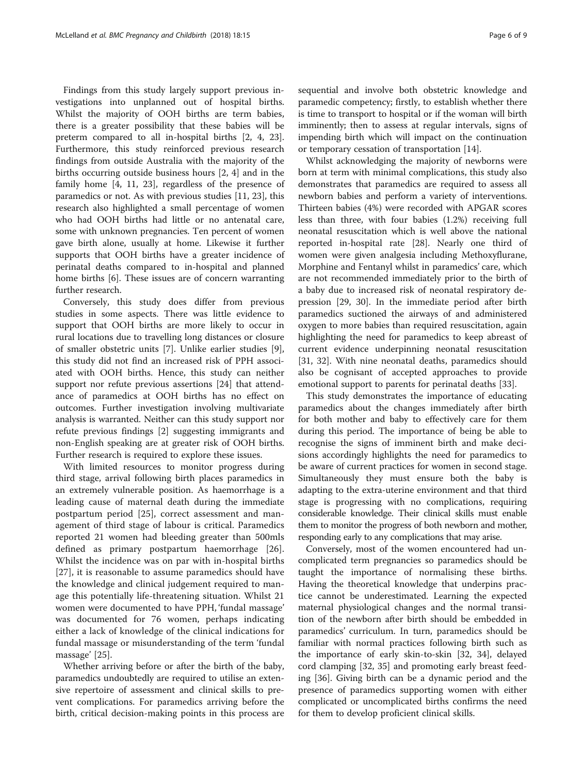Findings from this study largely support previous investigations into unplanned out of hospital births. Whilst the majority of OOH births are term babies, there is a greater possibility that these babies will be preterm compared to all in-hospital births [2, 4, 23]. Furthermore, this study reinforced previous research findings from outside Australia with the majority of the births occurring outside business hours [2, 4] and in the family home [4, 11, 23], regardless of the presence of paramedics or not. As with previous studies [11, 23], this research also highlighted a small percentage of women who had OOH births had little or no antenatal care, some with unknown pregnancies. Ten percent of women gave birth alone, usually at home. Likewise it further supports that OOH births have a greater incidence of perinatal deaths compared to in-hospital and planned home births [6]. These issues are of concern warranting further research.

Conversely, this study does differ from previous studies in some aspects. There was little evidence to support that OOH births are more likely to occur in rural locations due to travelling long distances or closure of smaller obstetric units [7]. Unlike earlier studies [9], this study did not find an increased risk of PPH associated with OOH births. Hence, this study can neither support nor refute previous assertions [24] that attendance of paramedics at OOH births has no effect on outcomes. Further investigation involving multivariate analysis is warranted. Neither can this study support nor refute previous findings [2] suggesting immigrants and non-English speaking are at greater risk of OOH births. Further research is required to explore these issues.

With limited resources to monitor progress during third stage, arrival following birth places paramedics in an extremely vulnerable position. As haemorrhage is a leading cause of maternal death during the immediate postpartum period [25], correct assessment and management of third stage of labour is critical. Paramedics reported 21 women had bleeding greater than 500mls defined as primary postpartum haemorrhage [26]. Whilst the incidence was on par with in-hospital births [27], it is reasonable to assume paramedics should have the knowledge and clinical judgement required to manage this potentially life-threatening situation. Whilst 21 women were documented to have PPH, 'fundal massage' was documented for 76 women, perhaps indicating either a lack of knowledge of the clinical indications for fundal massage or misunderstanding of the term 'fundal massage' [25].

Whether arriving before or after the birth of the baby, paramedics undoubtedly are required to utilise an extensive repertoire of assessment and clinical skills to prevent complications. For paramedics arriving before the birth, critical decision-making points in this process are

sequential and involve both obstetric knowledge and paramedic competency; firstly, to establish whether there is time to transport to hospital or if the woman will birth imminently; then to assess at regular intervals, signs of impending birth which will impact on the continuation or temporary cessation of transportation [14].

Whilst acknowledging the majority of newborns were born at term with minimal complications, this study also demonstrates that paramedics are required to assess all newborn babies and perform a variety of interventions. Thirteen babies (4%) were recorded with APGAR scores less than three, with four babies (1.2%) receiving full neonatal resuscitation which is well above the national reported in-hospital rate [28]. Nearly one third of women were given analgesia including Methoxyflurane, Morphine and Fentanyl whilst in paramedics' care, which are not recommended immediately prior to the birth of a baby due to increased risk of neonatal respiratory depression [29, 30]. In the immediate period after birth paramedics suctioned the airways of and administered oxygen to more babies than required resuscitation, again highlighting the need for paramedics to keep abreast of current evidence underpinning neonatal resuscitation [31, 32]. With nine neonatal deaths, paramedics should also be cognisant of accepted approaches to provide emotional support to parents for perinatal deaths [33].

This study demonstrates the importance of educating paramedics about the changes immediately after birth for both mother and baby to effectively care for them during this period. The importance of being be able to recognise the signs of imminent birth and make decisions accordingly highlights the need for paramedics to be aware of current practices for women in second stage. Simultaneously they must ensure both the baby is adapting to the extra-uterine environment and that third stage is progressing with no complications, requiring considerable knowledge. Their clinical skills must enable them to monitor the progress of both newborn and mother, responding early to any complications that may arise.

Conversely, most of the women encountered had uncomplicated term pregnancies so paramedics should be taught the importance of normalising these births. Having the theoretical knowledge that underpins practice cannot be underestimated. Learning the expected maternal physiological changes and the normal transition of the newborn after birth should be embedded in paramedics' curriculum. In turn, paramedics should be familiar with normal practices following birth such as the importance of early skin-to-skin [32, 34], delayed cord clamping [32, 35] and promoting early breast feeding [36]. Giving birth can be a dynamic period and the presence of paramedics supporting women with either complicated or uncomplicated births confirms the need for them to develop proficient clinical skills.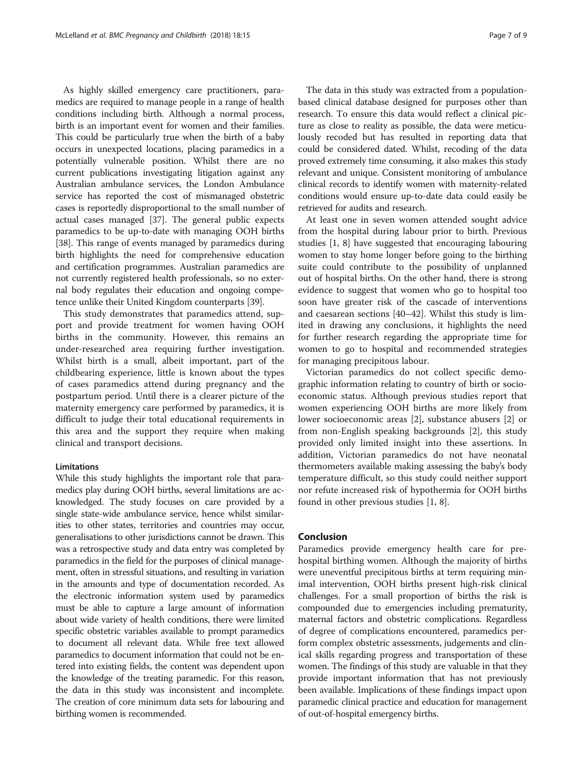As highly skilled emergency care practitioners, paramedics are required to manage people in a range of health conditions including birth. Although a normal process, birth is an important event for women and their families. This could be particularly true when the birth of a baby occurs in unexpected locations, placing paramedics in a potentially vulnerable position. Whilst there are no current publications investigating litigation against any Australian ambulance services, the London Ambulance service has reported the cost of mismanaged obstetric cases is reportedly disproportional to the small number of actual cases managed [37]. The general public expects paramedics to be up-to-date with managing OOH births [38]. This range of events managed by paramedics during birth highlights the need for comprehensive education and certification programmes. Australian paramedics are not currently registered health professionals, so no external body regulates their education and ongoing competence unlike their United Kingdom counterparts [39].

This study demonstrates that paramedics attend, support and provide treatment for women having OOH births in the community. However, this remains an under-researched area requiring further investigation. Whilst birth is a small, albeit important, part of the childbearing experience, little is known about the types of cases paramedics attend during pregnancy and the postpartum period. Until there is a clearer picture of the maternity emergency care performed by paramedics, it is difficult to judge their total educational requirements in this area and the support they require when making clinical and transport decisions.

## Limitations

While this study highlights the important role that paramedics play during OOH births, several limitations are acknowledged. The study focuses on care provided by a single state-wide ambulance service, hence whilst similarities to other states, territories and countries may occur, generalisations to other jurisdictions cannot be drawn. This was a retrospective study and data entry was completed by paramedics in the field for the purposes of clinical management, often in stressful situations, and resulting in variation in the amounts and type of documentation recorded. As the electronic information system used by paramedics must be able to capture a large amount of information about wide variety of health conditions, there were limited specific obstetric variables available to prompt paramedics to document all relevant data. While free text allowed paramedics to document information that could not be entered into existing fields, the content was dependent upon the knowledge of the treating paramedic. For this reason, the data in this study was inconsistent and incomplete. The creation of core minimum data sets for labouring and birthing women is recommended.

The data in this study was extracted from a populationbased clinical database designed for purposes other than research. To ensure this data would reflect a clinical picture as close to reality as possible, the data were meticulously recoded but has resulted in reporting data that could be considered dated. Whilst, recoding of the data proved extremely time consuming, it also makes this study relevant and unique. Consistent monitoring of ambulance clinical records to identify women with maternity-related conditions would ensure up-to-date data could easily be retrieved for audits and research.

At least one in seven women attended sought advice from the hospital during labour prior to birth. Previous studies [1, 8] have suggested that encouraging labouring women to stay home longer before going to the birthing suite could contribute to the possibility of unplanned out of hospital births. On the other hand, there is strong evidence to suggest that women who go to hospital too soon have greater risk of the cascade of interventions and caesarean sections [40–42]. Whilst this study is limited in drawing any conclusions, it highlights the need for further research regarding the appropriate time for women to go to hospital and recommended strategies for managing precipitous labour.

Victorian paramedics do not collect specific demographic information relating to country of birth or socioeconomic status. Although previous studies report that women experiencing OOH births are more likely from lower socioeconomic areas [2], substance abusers [2] or from non-English speaking backgrounds [2], this study provided only limited insight into these assertions. In addition, Victorian paramedics do not have neonatal thermometers available making assessing the baby's body temperature difficult, so this study could neither support nor refute increased risk of hypothermia for OOH births found in other previous studies [1, 8].

## Conclusion

Paramedics provide emergency health care for prehospital birthing women. Although the majority of births were uneventful precipitous births at term requiring minimal intervention, OOH births present high-risk clinical challenges. For a small proportion of births the risk is compounded due to emergencies including prematurity, maternal factors and obstetric complications. Regardless of degree of complications encountered, paramedics perform complex obstetric assessments, judgements and clinical skills regarding progress and transportation of these women. The findings of this study are valuable in that they provide important information that has not previously been available. Implications of these findings impact upon paramedic clinical practice and education for management of out-of-hospital emergency births.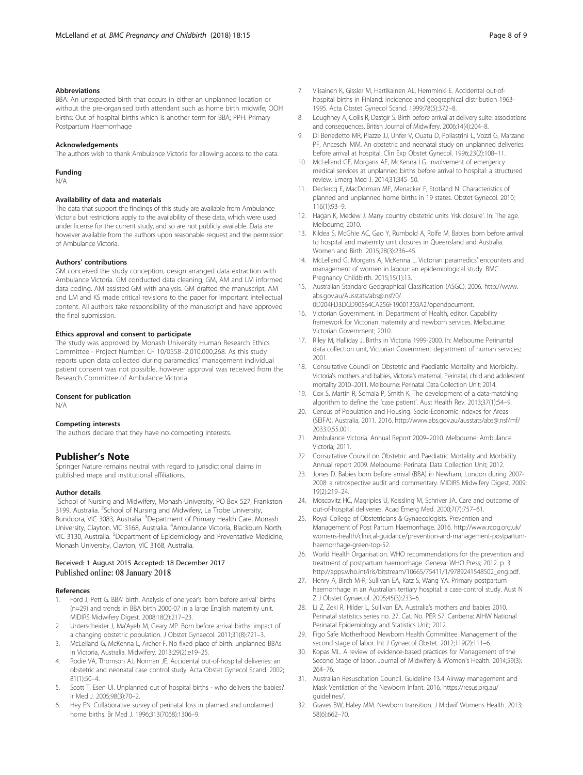## Abbreviations

BBA: An unexpected birth that occurs in either an unplanned location or without the pre-organised birth attendant such as home birth midwife; OOH births: Out of hospital births which is another term for BBA; PPH: Primary Postpartum Haemorrhage

### Acknowledgements

The authors wish to thank Ambulance Victoria for allowing access to the data.

#### Funding

N/A

#### Availability of data and materials

The data that support the findings of this study are available from Ambulance Victoria but restrictions apply to the availability of these data, which were used under license for the current study, and so are not publicly available. Data are however available from the authors upon reasonable request and the permission of Ambulance Victoria.

### Authors' contributions

GM conceived the study conception, design arranged data extraction with Ambulance Victoria. GM conducted data cleaning; GM, AM and LM informed data coding. AM assisted GM with analysis. GM drafted the manuscript, AM and LM and KS made critical revisions to the paper for important intellectual content. All authors take responsibility of the manuscript and have approved the final submission.

#### Ethics approval and consent to participate

The study was approved by Monash University Human Research Ethics Committee - Project Number: CF 10/0558–2,010,000,268. As this study reports upon data collected during paramedics' management individual patient consent was not possible, however approval was received from the Research Committee of Ambulance Victoria.

#### Consent for publication

N/A

## Competing interests

The authors declare that they have no competing interests.

## Publisher's Note

Springer Nature remains neutral with regard to jurisdictional claims in published maps and institutional affiliations.

### Author details

<sup>1</sup>School of Nursing and Midwifery, Monash University, PO Box 527, Frankston 3199, Australia. <sup>2</sup>School of Nursing and Midwifery, La Trobe University, Bundoora, VIC 3083, Australia. <sup>3</sup>Department of Primary Health Care, Monash University, Clayton, VIC 3168, Australia. <sup>4</sup>Ambulance Victoria, Blackburn North, VIC 3130, Australia. <sup>5</sup>Department of Epidemiology and Preventative Medicine, Monash University, Clayton, VIC 3168, Australia.

## Received: 1 August 2015 Accepted: 18 December 2017 Published online: 08 January 2018

#### References

- 1. Ford J, Pett G. BBA' birth. Analysis of one year's 'born before arrival' births (n=29) and trends in BBA birth 2000-07 in a large English maternity unit. MIDIRS Midwifery Digest. 2008;18(2):217–23.
- 2. Unterscheider J, Ma'Ayeh M, Geary MP. Born before arrival births: impact of a changing obstetric population. J Obstet Gynaecol. 2011;31(8):721–3.
- 3. McLelland G, McKenna L, Archer F. No fixed place of birth: unplanned BBAs in Victoria, Australia. Midwifery. 2013;29(2):e19–25.
- 4. Rodie VA, Thomson AJ, Norman JE. Accidental out-of-hospital deliveries: an obstetric and neonatal case control study. Acta Obstet Gynecol Scand. 2002; 81(1):50–4.
- 5. Scott T, Esen UI. Unplanned out of hospital births who delivers the babies? Ir Med J. 2005;98(3):70–2.
- 6. Hey EN. Collaborative survey of perinatal loss in planned and unplanned home births. Br Med J. 1996;313(7068):1306–9.
- 7. Viisainen K, Gissler M, Hartikainen AL, Hemminki E. Accidental out-ofhospital births in Finland: incidence and geographical distribution 1963- 1995. Acta Obstet Gynecol Scand. 1999;78(5):372–8.
- 8. Loughney A, Collis R, Dastgir S. Birth before arrival at delivery suite: associations and consequences. British Journal of Midwifery. 2006;14(4):204–8.
- 9. Di Benedetto MR, Piazze JJ, Unfer V, Ouatu D, Pollastrini L, Vozzi G, Marzano PF, Anceschi MM. An obstetric and neonatal study on unplanned deliveries before arrival at hospital. Clin Exp Obstet Gynecol. 1996;23(2):108–11.
- 10. McLelland GE, Morgans AE, McKenna LG. Involvement of emergency medical services at unplanned births before arrival to hospital: a structured review. Emerg Med J. 2014;31:345–50.
- 11. Declerca E, MacDorman MF, Menacker F, Stotland N, Characteristics of planned and unplanned home births in 19 states. Obstet Gynecol. 2010; 116(1):93–9.
- 12. Hagan K, Medew J. Many country obstetric units 'risk closure'. In: The age. Melbourne; 2010.
- 13. Kildea S, McGhie AC, Gao Y, Rumbold A, Rolfe M. Babies born before arrival to hospital and maternity unit closures in Queensland and Australia. Women and Birth. 2015;28(3):236–45.
- 14. McLelland G, Morgans A, McKenna L. Victorian paramedics' encounters and management of women in labour: an epidemiological study. BMC Pregnancy Childbirth. 2015;15(1):13.
- 15. Australian Standard Geographical Classification (ASGC). 2006. http://www. abs.gov.au/Ausstats/abs@.nsf/0/
- 0D204FD3DCD90564CA256F19001303A2?opendocument. 16. Victorian Government. In: Department of Health, editor. Capability framework for Victorian maternity and newborn services. Melbourne: Victorian Government; 2010.
- 17. Riley M, Halliday J. Births in Victoria 1999-2000. In: Melbourne Perinantal data collection unit, Victorian Government department of human services; 2001.
- 18. Consultative Council on Obstetric and Paediatric Mortality and Morbidity. Victoria's mothers and babies, Victoria's maternal, Perinatal, child and adolescent mortality 2010–2011. Melbourne: Perinatal Data Collection Unit; 2014.
- 19. Cox S, Martin R, Somaia P, Smith K. The development of a data-matching algorithm to define the 'case patient'. Aust Health Rev. 2013;37(1):54–9.
- 20. Census of Population and Housing: Socio-Economic Indexes for Areas (SEIFA), Australia, 2011. 2016. http://www.abs.gov.au/ausstats/abs@.nsf/mf/ 2033.0.55.001.
- 21. Ambulance Victoria. Annual Report 2009–2010. Melbourne: Ambulance Victoria; 2011.
- 22. Consultative Council on Obstetric and Paediatric Mortality and Morbidity. Annual report 2009. Melbourne: Perinatal Data Collection Unit; 2012.
- 23. Jones D. Babies born before arrival (BBA) in Newham, London during 2007- 2008: a retrospective audit and commentary. MIDIRS Midwifery Digest. 2009; 19(2):219–24.
- 24. Moscovitz HC, Magriples U, Keissling M, Schriver JA. Care and outcome of out-of-hospital deliveries. Acad Emerg Med. 2000;7(7):757–61.
- 25. Royal College of Obstetricians & Gynaecologists. Prevention and Management of Post Partum Haemorrhage. 2016. http://www.rcog.org.uk/ womens-health/clinical-guidance/prevention-and-management-postpartumhaemorrhage-green-top-52.
- 26. World Health Organisation. WHO recommendations for the prevention and treatment of postpartum haemorrhage. Geneva: WHO Press; 2012. p. 3. http://apps.who.int/iris/bitstream/10665/75411/1/9789241548502\_eng.pdf.
- 27. Henry A, Birch M-R, Sullivan EA, Katz S, Wang YA. Primary postpartum haemorrhage in an Australian tertiary hospital: a case-control study. Aust N Z J Obstet Gynaecol. 2005;45(3):233–6.
- 28. Li Z, Zeki R, Hilder L, Sullivan EA. Australia's mothers and babies 2010. Perinatal statistics series no. 27. Cat. No. PER 57. Canberra: AIHW National Perinatal Epidemiology and Statistics Unit; 2012.
- 29. Figo Safe Motherhood Newborn Health Committee. Management of the second stage of labor. Int J Gynaecol Obstet. 2012;119(2):111–6.
- 30. Kopas ML. A review of evidence-based practices for Management of the Second Stage of labor. Journal of Midwifery & Women's Health. 2014;59(3): 264–76.
- 31. Australian Resuscitation Council. Guideline 13.4 Airway management and Mask Ventilation of the Newborn Infant. 2016. https://resus.org.au/ guidelines/.
- 32. Graves BW, Haley MM. Newborn transition. J Midwif Womens Health. 2013; 58(6):662–70.